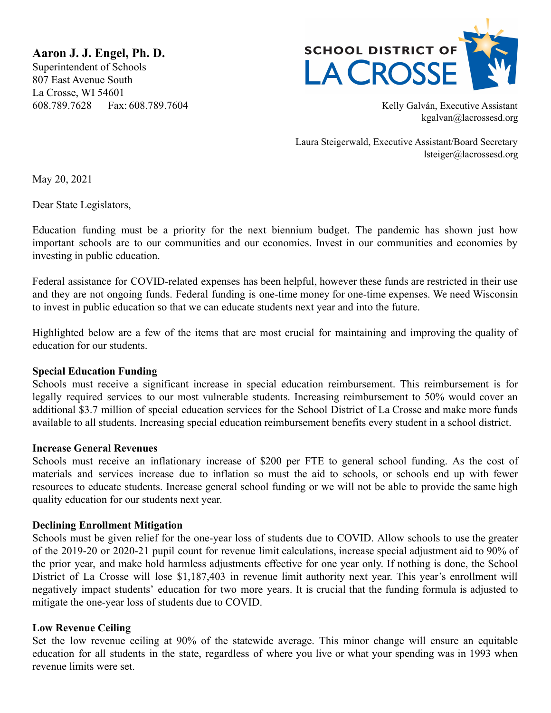**Aaron J. J. Engel, Ph. D.** Superintendent of Schools 807 East Avenue South La Crosse, WI 54601 608.789.7628 Fax: 608.789.7604 Kelly Galván, Executive Assistant



kgalvan@lacrossesd.org

Laura Steigerwald, Executive Assistant/Board Secretary lsteiger@lacrossesd.org

May 20, 2021

Dear State Legislators,

Education funding must be a priority for the next biennium budget. The pandemic has shown just how important schools are to our communities and our economies. Invest in our communities and economies by investing in public education.

Federal assistance for COVID-related expenses has been helpful, however these funds are restricted in their use and they are not ongoing funds. Federal funding is one-time money for one-time expenses. We need Wisconsin to invest in public education so that we can educate students next year and into the future.

Highlighted below are a few of the items that are most crucial for maintaining and improving the quality of education for our students.

### **Special Education Funding**

Schools must receive a significant increase in special education reimbursement. This reimbursement is for legally required services to our most vulnerable students. Increasing reimbursement to 50% would cover an additional \$3.7 million of special education services for the School District of La Crosse and make more funds available to all students. Increasing special education reimbursement benefits every student in a school district.

### **Increase General Revenues**

Schools must receive an inflationary increase of \$200 per FTE to general school funding. As the cost of materials and services increase due to inflation so must the aid to schools, or schools end up with fewer resources to educate students. Increase general school funding or we will not be able to provide the same high quality education for our students next year.

# **Declining Enrollment Mitigation**

Schools must be given relief for the one-year loss of students due to COVID. Allow schools to use the greater of the 2019-20 or 2020-21 pupil count for revenue limit calculations, increase special adjustment aid to 90% of the prior year, and make hold harmless adjustments effective for one year only. If nothing is done, the School District of La Crosse will lose \$1,187,403 in revenue limit authority next year. This year's enrollment will negatively impact students' education for two more years. It is crucial that the funding formula is adjusted to mitigate the one-year loss of students due to COVID.

### **Low Revenue Ceiling**

Set the low revenue ceiling at 90% of the statewide average. This minor change will ensure an equitable education for all students in the state, regardless of where you live or what your spending was in 1993 when revenue limits were set.